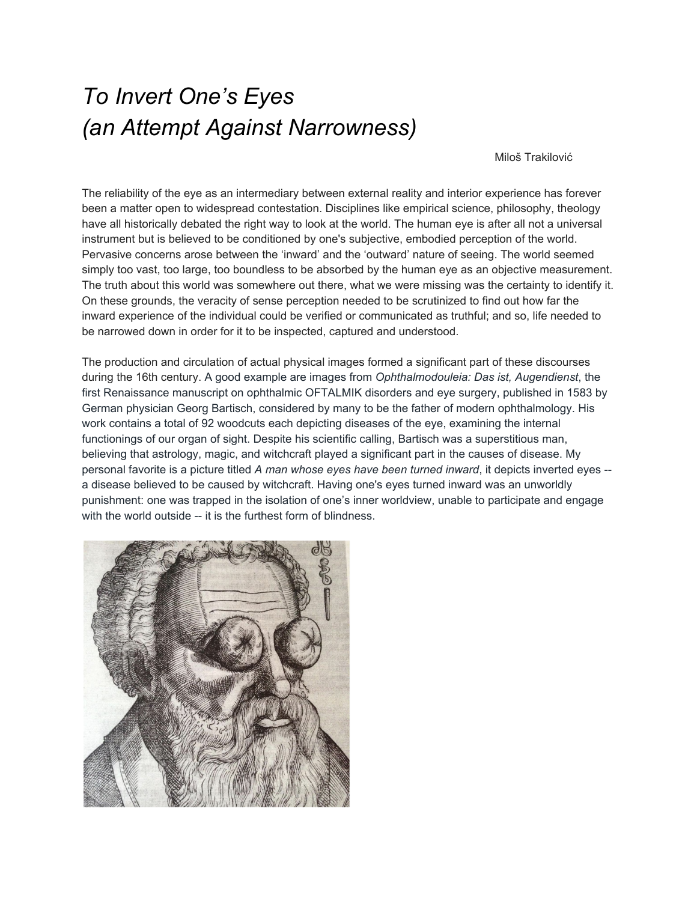## *To Invert One's Eyes (an Attempt Against Narrowness)*

Miloš Trakilović

The reliability of the eye as an intermediary between external reality and interior experience has forever been a matter open to widespread contestation. Disciplines like empirical science, philosophy, theology have all historically debated the right way to look at the world. The human eye is after all not a universal instrument but is believed to be conditioned by one's subjective, embodied perception of the world. Pervasive concerns arose between the 'inward' and the 'outward' nature of seeing. The world seemed simply too vast, too large, too boundless to be absorbed by the human eye as an objective measurement. The truth about this world was somewhere out there, what we were missing was the certainty to identify it. On these grounds, the veracity of sense perception needed to be scrutinized to find out how far the inward experience of the individual could be verified or communicated as truthful; and so, life needed to be narrowed down in order for it to be inspected, captured and understood.

The production and circulation of actual physical images formed a significant part of these discourses during the 16th century. A good example are images from *[Ophthalmodouleia:](https://archive.org/details/ophthalmodouleia00bart) Das ist, Augendienst*, the first Renaissance manuscript on ophthalmic OFTALMIK disorders and eye surgery, published in 1583 by German physician Georg Bartisch, considered by many to be the father of modern ophthalmology. His work contains a total of 92 woodcuts each depicting diseases of the eye, examining the internal functionings of our organ of sight. Despite his scientific calling, Bartisch was a superstitious man, believing that astrology, magic, and witchcraft played a significant part in the causes of disease. My personal favorite is a picture titled *A man whose eyes have been turned inward*, it depicts inverted eyes - a disease believed to be caused by witchcraft. Having one's eyes turned inward was an unworldly punishment: one was trapped in the isolation of one's inner worldview, unable to participate and engage with the world outside -- it is the furthest form of blindness.

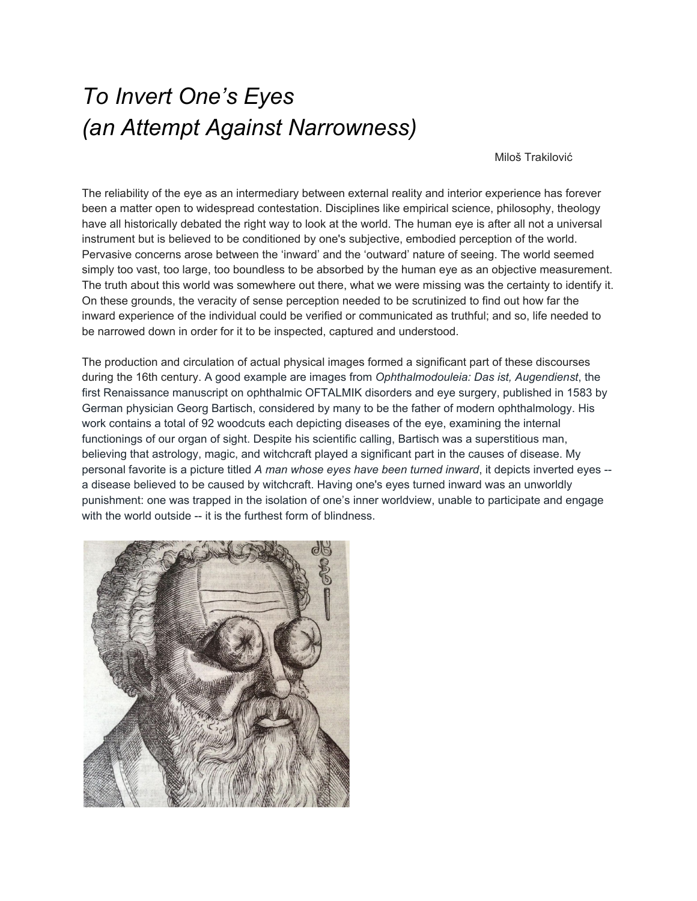Instead a consensus needed to be reached between the faculties of the perceiving subject and the nature of the object of perception. Interior and the exterior qualities of our existence needed to find middle grounds.

More attempts at narrowing life followed with the advent of lens technology in the practice of experimental science. The microscope and the telescope invested the eye with new authority with procedures that relied upon technologies of magnification and protocols of witnessing. Human vision became something that could be enhanced, altered and augmented. One could inspect the world by observing it with new tools and instruments that coincided with our retinal sight. Being in the world was to see it, to look at it, to look at it again and again; to observe a world in movement and of change. But change complicates the already conflicting relationship between seeing, knowing, imagining and representing. It tapers truth that wants to rely on certainty, and there is nothing more certain in our world than change.



:<br>: Portret van Ellen Vogel



[] Portrait of an African Man..



[] Portret van een vrouv



...<br>Gresham and...<br>Gresham and...

...<br>Emmerich Tekkelv





: : :<br>: : : Marmeren buste Pompeïsch<br>Meisje...

[[] Salomé met het hoofd van<br>Johannes...

[] Portret van Remco Camper

Another attempt at narrowing life occurred with the advent of the camera. What the invention of the camera specifically solidified was the belief that photography could now somehow truthfully and factually represent the world; that by means of this technology we could generate accurate and objective representations of what the world looks like and assess with greater certainty what it means to inhabit it. If we narrowed down life even more into the frame of a picture, truth would have nowhere else to go. If we captured and stopped the world from moving, we would all be able to see the same world.

Instead, more and more images had to be made to enable the creation of exceptionally intricate forms of truth; elaborate, figurative and collective truths. If we made enough images we could compare truths and finally marry the inward with the outward into one single world that belonged to us all. For this, images needed to travel, they needed to be disseminated, digitized, propagated and scrutinized. As they proliferated, more worlds proliferated and truth became lost in a succession of metamorphic images that garbled the internal workings of the eye and the mind.  $S\setminus J$  i 'l Vh  $\bar{Q}$ ea/XZY Wih 12 $\bar{Z}$ hcZhh#Hj YYZcani]Z $\bar{Q}$ I ZqZ'idd'b Vcn'b V\Zh''c'i]Z'di ih YZ'l dqA'#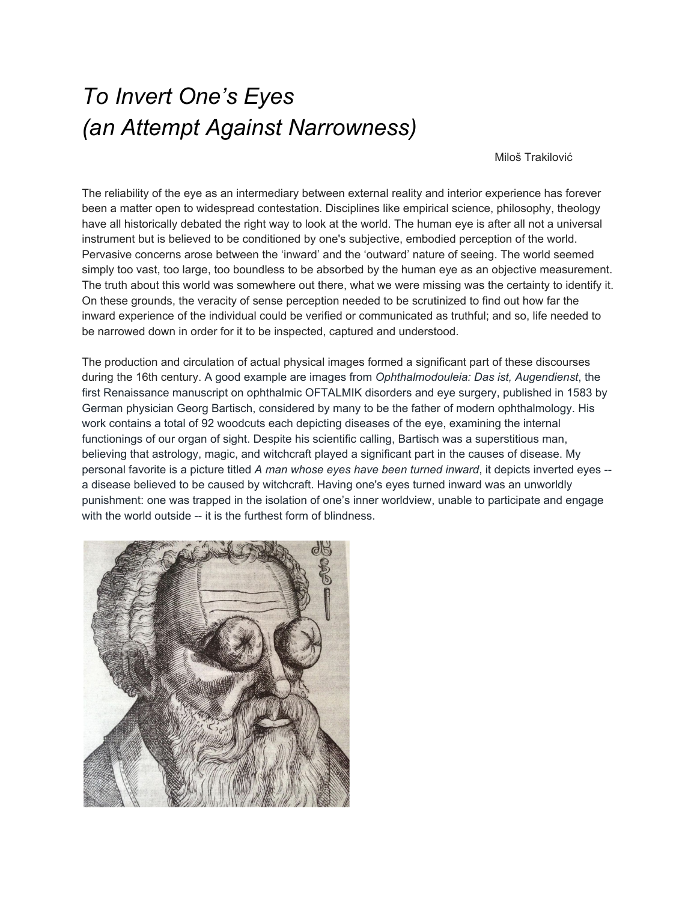

In 1970, 23 year old artist Giuseppe Penone made 'To Reverse One's Eyes' using mirror surfaced lenses to symbolically blind himself to the outside world. By looking inward his gesture declared it is not the artist's retinal sight but his inner vision that is the source for making works of art. In 2013, I took a passport picture in a photo booth on Tilburg central station, coincidentally blinding myself using globe emoji's. I was a 23 year old art student at the time (and unaware of Penone's work) and I did this, not as an artistic gesture whatsoever but out of sheer boredom on my phone.

It's possible to discern a parallel between these two sightless gazes, one in 1970 projected inwards and one in 2013 projected outwards but equally unsighted; looking back across the millions of lenses now installed in our mobile phones, zombie cameras, 3D blindspots all multiplied and incorporated into our movements and emotions, capturing and processing information in ways that extend far beyond any abilities of our retinal sight. Today, cameras are everywhere, there is no blind spot left. It is impossible to retain truth when confronted with the bondage of images and circulation of information out there. The inward and the outward have collapsed on the level of the screen. Metric worlds are now running on prediction, speeding past tomorrow and spinning in reverse, subordinating any sense of inner vision. Life thrives where we cannot see.

We might have to start anew, but this time against narrowness and with the help of a little witchcraft:

Take a picture when everyone's watching and nothing changes. Close your eyes and the world becomes more dangerous, more wide.